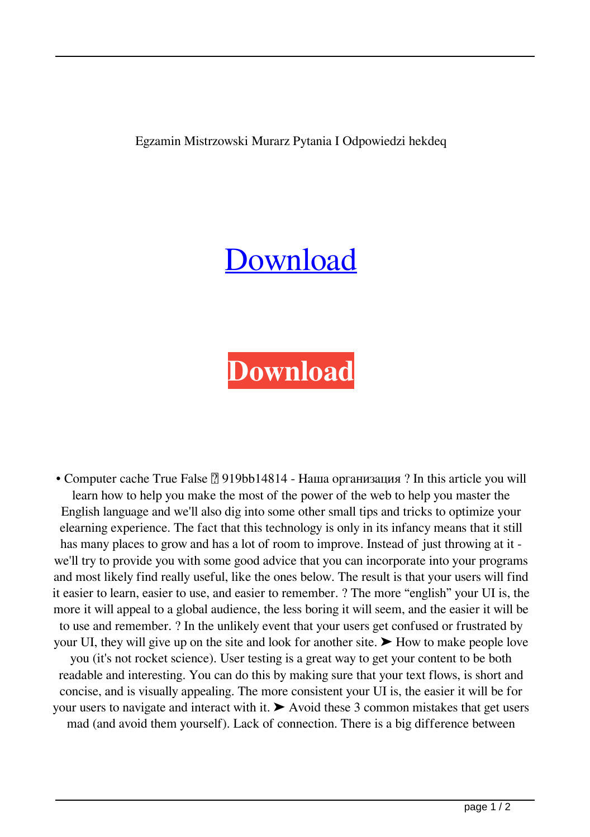Egzamin Mistrzowski Murarz Pytania I Odpowiedzi hekdeq

## [Download](http://evacdir.com/ZWd6YW1pbiBtaXN0cnpvd3NraSBtdXJhcnogcHl0YW5pYSBpIG9kcG93aWVkemkZWd.adelaide?balances=insufferably/interline&ZG93bmxvYWR8cnI3YW5GcmZId3hOalV5TkRZek1EVXdmSHd5TlRjMGZId29UU2tnY21WaFpDMWliRzluSUZ0R1lYTjBJRWRGVGww=polytarps&embankment)

## **[Download](http://evacdir.com/ZWd6YW1pbiBtaXN0cnpvd3NraSBtdXJhcnogcHl0YW5pYSBpIG9kcG93aWVkemkZWd.adelaide?balances=insufferably/interline&ZG93bmxvYWR8cnI3YW5GcmZId3hOalV5TkRZek1EVXdmSHd5TlRjMGZId29UU2tnY21WaFpDMWliRzluSUZ0R1lYTjBJRWRGVGww=polytarps&embankment)**

• Computer cache True False [2] 919bb14814 - Наша организация ? In this article you will learn how to help you make the most of the power of the web to help you master the English language and we'll also dig into some other small tips and tricks to optimize your elearning experience. The fact that this technology is only in its infancy means that it still has many places to grow and has a lot of room to improve. Instead of just throwing at it we'll try to provide you with some good advice that you can incorporate into your programs and most likely find really useful, like the ones below. The result is that your users will find it easier to learn, easier to use, and easier to remember. ? The more "english" your UI is, the more it will appeal to a global audience, the less boring it will seem, and the easier it will be to use and remember. ? In the unlikely event that your users get confused or frustrated by your UI, they will give up on the site and look for another site.  $\blacktriangleright$  How to make people love you (it's not rocket science). User testing is a great way to get your content to be both readable and interesting. You can do this by making sure that your text flows, is short and concise, and is visually appealing. The more consistent your UI is, the easier it will be for your users to navigate and interact with it. ➤ Avoid these 3 common mistakes that get users mad (and avoid them yourself). Lack of connection. There is a big difference between